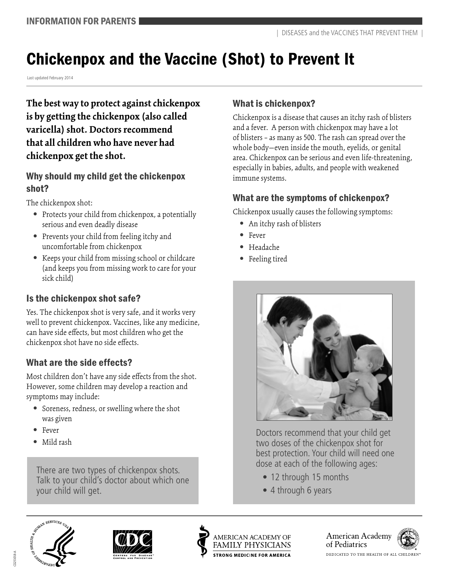# Chickenpox and the Vaccine (Shot) to Prevent It

Last updated February 2014

**The best way to protect against chickenpox is by getting the chickenpox (also called varicella) shot. Doctors recommend that all children who have never had chickenpox get the shot.** 

#### Why should my child get the chickenpox shot?

The chickenpox shot:

- Protects your child from chickenpox, a potentially serious and even deadly disease
- **•**  Prevents your child from feeling itchy and uncomfortable from chickenpox
- **•**  Keeps your child from missing school or childcare (and keeps you from missing work to care for your sick child)

## Is the chickenpox shot safe?

Yes. The chickenpox shot is very safe, and it works very well to prevent chickenpox. Vaccines, like any medicine, can have side effects, but most children who get the chickenpox shot have no side effects.

# What are the side effects?

Most children don't have any side effects from the shot. However, some children may develop a reaction and symptoms may include:

- Soreness, redness, or swelling where the shot was given
- **•**  Fever
- **•**  Mild rash

There are two types of chickenpox shots. Talk to your child's doctor about which one your child will get.

#### What is chickenpox?

Chickenpox is a disease that causes an itchy rash of blisters and a fever. A person with chickenpox may have a lot of blisters – as many as 500. The rash can spread over the whole body—even inside the mouth, eyelids, or genital area. Chickenpox can be serious and even life-threatening, especially in babies, adults, and people with weakened immune systems.

## What are the symptoms of chickenpox?

Chickenpox usually causes the following symptoms:

- An itchy rash of blisters
- **•**  Fever
- **•**  Headache
- **•**  Feeling tired



Doctors recommend that your child get two doses of the chickenpox shot for best protection. Your child will need one dose at each of the following ages:

- 12 through 15 months
- 4 through 6 years







American Academy of Pediatrics



DEDICATED TO THE HEALTH OF ALL CHILDREN'